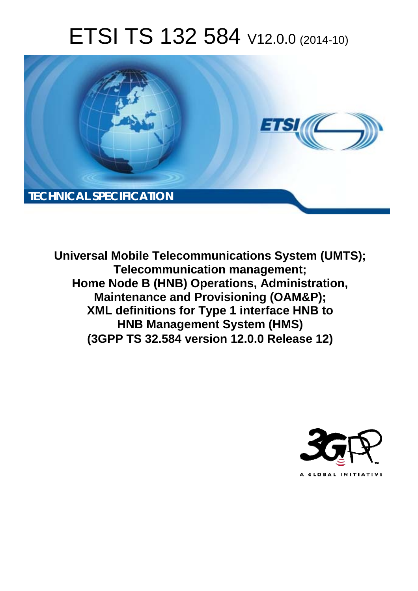# ETSI TS 132 584 V12.0.0 (2014-10)



**Universal Mobile Telecommunications System (UMTS); Telecommunication management; Home Node B (HNB) Operations, Administration, Maintenance and Provisioning (OAM&P); XML definitions for Type 1 interface HNB to HNB Management System (HMS) (3GPP TS 32.584 version 12.0.0 Release 12)** 

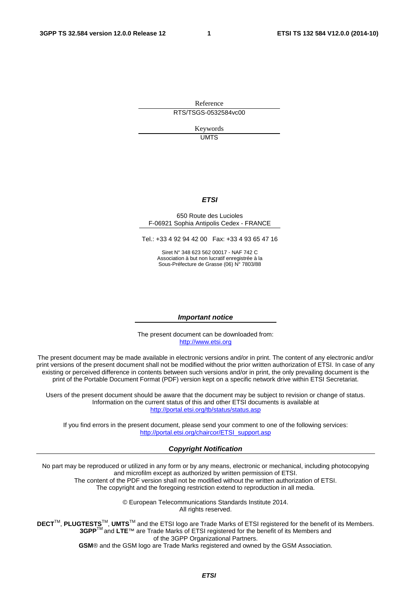Reference RTS/TSGS-0532584vc00

> Keywords UMTS

#### *ETSI*

#### 650 Route des Lucioles F-06921 Sophia Antipolis Cedex - FRANCE

Tel.: +33 4 92 94 42 00 Fax: +33 4 93 65 47 16

Siret N° 348 623 562 00017 - NAF 742 C Association à but non lucratif enregistrée à la Sous-Préfecture de Grasse (06) N° 7803/88

#### *Important notice*

The present document can be downloaded from: [http://www.etsi.org](http://www.etsi.org/)

The present document may be made available in electronic versions and/or in print. The content of any electronic and/or print versions of the present document shall not be modified without the prior written authorization of ETSI. In case of any existing or perceived difference in contents between such versions and/or in print, the only prevailing document is the print of the Portable Document Format (PDF) version kept on a specific network drive within ETSI Secretariat.

Users of the present document should be aware that the document may be subject to revision or change of status. Information on the current status of this and other ETSI documents is available at <http://portal.etsi.org/tb/status/status.asp>

If you find errors in the present document, please send your comment to one of the following services: [http://portal.etsi.org/chaircor/ETSI\\_support.asp](http://portal.etsi.org/chaircor/ETSI_support.asp)

#### *Copyright Notification*

No part may be reproduced or utilized in any form or by any means, electronic or mechanical, including photocopying and microfilm except as authorized by written permission of ETSI.

The content of the PDF version shall not be modified without the written authorization of ETSI. The copyright and the foregoing restriction extend to reproduction in all media.

> © European Telecommunications Standards Institute 2014. All rights reserved.

**DECT**TM, **PLUGTESTS**TM, **UMTS**TM and the ETSI logo are Trade Marks of ETSI registered for the benefit of its Members. **3GPP**TM and **LTE**™ are Trade Marks of ETSI registered for the benefit of its Members and of the 3GPP Organizational Partners.

**GSM**® and the GSM logo are Trade Marks registered and owned by the GSM Association.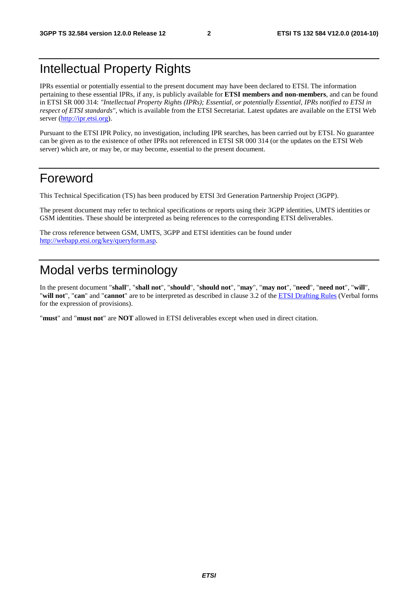# Intellectual Property Rights

IPRs essential or potentially essential to the present document may have been declared to ETSI. The information pertaining to these essential IPRs, if any, is publicly available for **ETSI members and non-members**, and can be found in ETSI SR 000 314: *"Intellectual Property Rights (IPRs); Essential, or potentially Essential, IPRs notified to ETSI in respect of ETSI standards"*, which is available from the ETSI Secretariat. Latest updates are available on the ETSI Web server [\(http://ipr.etsi.org](http://webapp.etsi.org/IPR/home.asp)).

Pursuant to the ETSI IPR Policy, no investigation, including IPR searches, has been carried out by ETSI. No guarantee can be given as to the existence of other IPRs not referenced in ETSI SR 000 314 (or the updates on the ETSI Web server) which are, or may be, or may become, essential to the present document.

### Foreword

This Technical Specification (TS) has been produced by ETSI 3rd Generation Partnership Project (3GPP).

The present document may refer to technical specifications or reports using their 3GPP identities, UMTS identities or GSM identities. These should be interpreted as being references to the corresponding ETSI deliverables.

The cross reference between GSM, UMTS, 3GPP and ETSI identities can be found under <http://webapp.etsi.org/key/queryform.asp>.

# Modal verbs terminology

In the present document "**shall**", "**shall not**", "**should**", "**should not**", "**may**", "**may not**", "**need**", "**need not**", "**will**", "**will not**", "**can**" and "**cannot**" are to be interpreted as described in clause 3.2 of the [ETSI Drafting Rules](http://portal.etsi.org/Help/editHelp!/Howtostart/ETSIDraftingRules.aspx) (Verbal forms for the expression of provisions).

"**must**" and "**must not**" are **NOT** allowed in ETSI deliverables except when used in direct citation.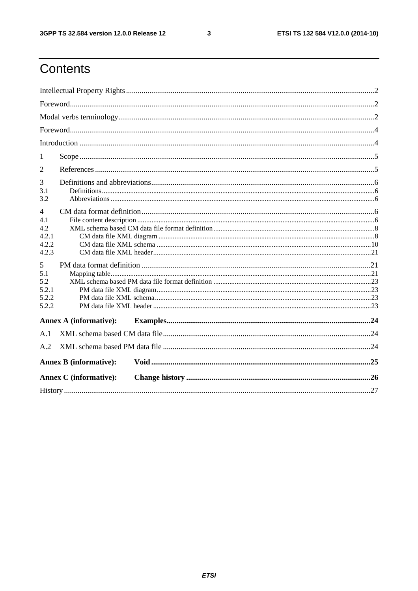$\mathbf{3}$ 

# Contents

| 1                                                       |                               |  |  |  |  |  |
|---------------------------------------------------------|-------------------------------|--|--|--|--|--|
| 2                                                       |                               |  |  |  |  |  |
| 3<br>3.1<br>3.2                                         |                               |  |  |  |  |  |
| $\overline{4}$<br>4.1<br>4.2<br>4.2.1<br>4.2.2<br>4.2.3 |                               |  |  |  |  |  |
| 5<br>5.1<br>5.2<br>5.2.1<br>5.2.2<br>5.2.2              |                               |  |  |  |  |  |
|                                                         | <b>Annex A (informative):</b> |  |  |  |  |  |
| A.1                                                     |                               |  |  |  |  |  |
| A.2                                                     |                               |  |  |  |  |  |
|                                                         | <b>Annex B (informative):</b> |  |  |  |  |  |
|                                                         | <b>Annex C</b> (informative): |  |  |  |  |  |
|                                                         |                               |  |  |  |  |  |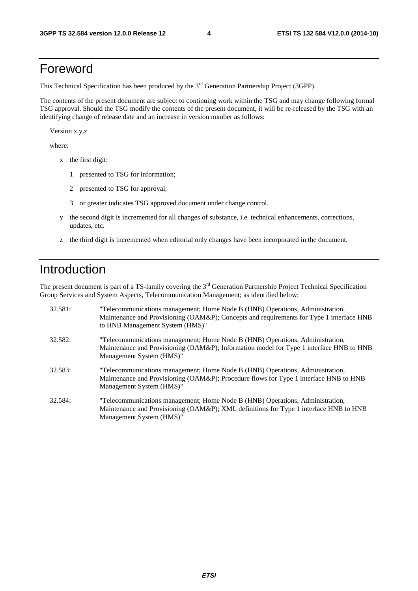# Foreword

This Technical Specification has been produced by the 3<sup>rd</sup> Generation Partnership Project (3GPP).

The contents of the present document are subject to continuing work within the TSG and may change following formal TSG approval. Should the TSG modify the contents of the present document, it will be re-released by the TSG with an identifying change of release date and an increase in version number as follows:

Version x.y.z

where:

- x the first digit:
	- 1 presented to TSG for information;
	- 2 presented to TSG for approval;
	- 3 or greater indicates TSG approved document under change control.
- y the second digit is incremented for all changes of substance, i.e. technical enhancements, corrections, updates, etc.
- z the third digit is incremented when editorial only changes have been incorporated in the document.

# Introduction

The present document is part of a TS-family covering the 3<sup>rd</sup> Generation Partnership Project Technical Specification Group Services and System Aspects, Telecommunication Management; as identified below:

| 32.581: | "Telecommunications management; Home Node B (HNB) Operations, Administration,<br>Maintenance and Provisioning (OAM&P); Concepts and requirements for Type 1 interface HNB<br>to HNB Management System (HMS)" |
|---------|--------------------------------------------------------------------------------------------------------------------------------------------------------------------------------------------------------------|
| 32.582: | "Telecommunications management; Home Node B (HNB) Operations, Administration,<br>Maintenance and Provisioning (OAM&P); Information model for Type 1 interface HNB to HNB<br>Management System (HMS)"         |
| 32.583: | "Telecommunications management; Home Node B (HNB) Operations, Administration,<br>Maintenance and Provisioning (OAM&P); Procedure flows for Type 1 interface HNB to HNB<br>Management System (HMS)"           |
| 32.584: | "Telecommunications management; Home Node B (HNB) Operations, Administration,<br>Maintenance and Provisioning (OAM&P); XML definitions for Type 1 interface HNB to HNB<br>Management System (HMS)"           |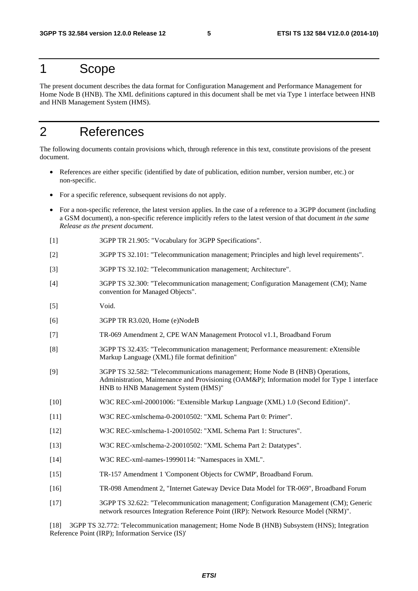### 1 Scope

The present document describes the data format for Configuration Management and Performance Management for Home Node B (HNB). The XML definitions captured in this document shall be met via Type 1 interface between HNB and HNB Management System (HMS).

# 2 References

The following documents contain provisions which, through reference in this text, constitute provisions of the present document.

- References are either specific (identified by date of publication, edition number, version number, etc.) or non-specific.
- For a specific reference, subsequent revisions do not apply.
- For a non-specific reference, the latest version applies. In the case of a reference to a 3GPP document (including a GSM document), a non-specific reference implicitly refers to the latest version of that document *in the same Release as the present document*.
- [1] 3GPP TR 21.905: "Vocabulary for 3GPP Specifications".
- [2] 3GPP TS 32.101: "Telecommunication management; Principles and high level requirements".
- [3] 3GPP TS 32.102: "Telecommunication management; Architecture".
- [4] 3GPP TS 32.300: "Telecommunication management; Configuration Management (CM); Name convention for Managed Objects".
- [5] Void.
- [6] 3GPP TR R3.020, Home (e)NodeB
- [7] TR-069 Amendment 2, CPE WAN Management Protocol v1.1, Broadband Forum
- [8] 3GPP TS 32.435: "Telecommunication management; Performance measurement: eXtensible Markup Language (XML) file format definition"
- [9] 3GPP TS 32.582: "Telecommunications management; Home Node B (HNB) Operations, Administration, Maintenance and Provisioning (OAM&P); Information model for Type 1 interface HNB to HNB Management System (HMS)"
- [10] W3C REC-xml-20001006: "Extensible Markup Language (XML) 1.0 (Second Edition)".
- [11] W3C REC-xmlschema-0-20010502: "XML Schema Part 0: Primer".
- [12] W3C REC-xmlschema-1-20010502: "XML Schema Part 1: Structures".
- [13] W3C REC-xmlschema-2-20010502: "XML Schema Part 2: Datatypes".
- [14] W3C REC-xml-names-19990114: "Namespaces in XML".
- [15] TR-157 Amendment 1 'Component Objects for CWMP', Broadband Forum.
- [16] TR-098 Amendment 2, "Internet Gateway Device Data Model for TR-069", Broadband Forum
- [17] 3GPP TS 32.622: "Telecommunication management; Configuration Management (CM); Generic network resources Integration Reference Point (IRP): Network Resource Model (NRM)".

[18] 3GPP TS 32.772: 'Telecommunication management; Home Node B (HNB) Subsystem (HNS); Integration Reference Point (IRP); Information Service (IS)'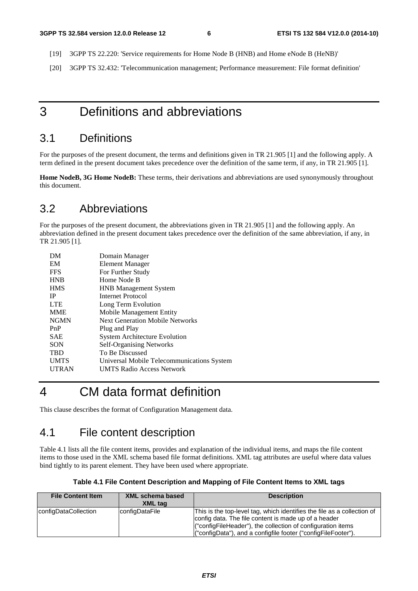- [19] 3GPP TS 22.220: 'Service requirements for Home Node B (HNB) and Home eNode B (HeNB)'
- [20] 3GPP TS 32.432: 'Telecommunication management; Performance measurement: File format definition'

### 3 Definitions and abbreviations

#### 3.1 Definitions

For the purposes of the present document, the terms and definitions given in TR 21.905 [1] and the following apply. A term defined in the present document takes precedence over the definition of the same term, if any, in TR 21.905 [1].

**Home NodeB, 3G Home NodeB:** These terms, their derivations and abbreviations are used synonymously throughout this document.

#### 3.2 Abbreviations

For the purposes of the present document, the abbreviations given in TR 21.905 [1] and the following apply. An abbreviation defined in the present document takes precedence over the definition of the same abbreviation, if any, in TR 21.905 [1].

| DМ           | Domain Manager                             |
|--------------|--------------------------------------------|
| EM           | Element Manager                            |
| <b>FFS</b>   | For Further Study                          |
| <b>HNB</b>   | Home Node B                                |
| <b>HMS</b>   | <b>HNB</b> Management System               |
| <b>IP</b>    | Internet Protocol                          |
| <b>LTE</b>   | Long Term Evolution                        |
| <b>MME</b>   | Mobile Management Entity                   |
| <b>NGMN</b>  | <b>Next Generation Mobile Networks</b>     |
| PnP          | Plug and Play                              |
| SAE          | <b>System Architecture Evolution</b>       |
| <b>SON</b>   | <b>Self-Organising Networks</b>            |
| <b>TBD</b>   | To Be Discussed                            |
| <b>UMTS</b>  | Universal Mobile Telecommunications System |
| <b>UTRAN</b> | <b>UMTS Radio Access Network</b>           |
|              |                                            |

# 4 CM data format definition

This clause describes the format of Configuration Management data.

### 4.1 File content description

Table 4.1 lists all the file content items, provides and explanation of the individual items, and maps the file content items to those used in the XML schema based file format definitions. XML tag attributes are useful where data values bind tightly to its parent element. They have been used where appropriate.

|  |  | Table 4.1 File Content Description and Mapping of File Content Items to XML tags |
|--|--|----------------------------------------------------------------------------------|
|  |  |                                                                                  |

| <b>File Content Item</b> | XML schema based<br><b>XML</b> tag | <b>Description</b>                                                                                                                                                                                                                                              |
|--------------------------|------------------------------------|-----------------------------------------------------------------------------------------------------------------------------------------------------------------------------------------------------------------------------------------------------------------|
| configDataCollection     | configDataFile                     | This is the top-level tag, which identifies the file as a collection of<br>config data. The file content is made up of a header<br>("configFileHeader"), the collection of configuration items<br>("configData"), and a configfile footer ("configFileFooter"). |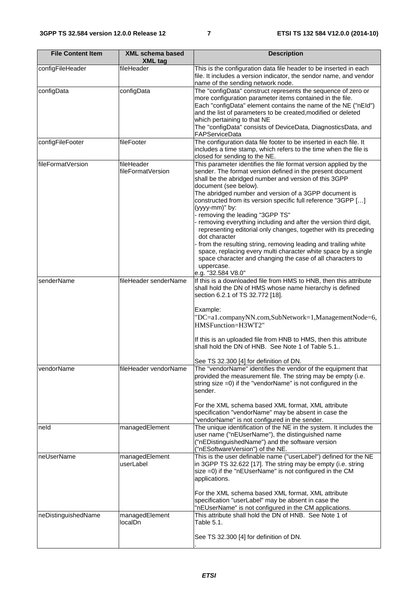| <b>File Content Item</b> | <b>XML schema based</b><br><b>XML</b> tag | <b>Description</b>                                                                                                                                                                                                                                                                                                                                                                                                                                                                                                                                                                                                                                                                                                                                                                                |
|--------------------------|-------------------------------------------|---------------------------------------------------------------------------------------------------------------------------------------------------------------------------------------------------------------------------------------------------------------------------------------------------------------------------------------------------------------------------------------------------------------------------------------------------------------------------------------------------------------------------------------------------------------------------------------------------------------------------------------------------------------------------------------------------------------------------------------------------------------------------------------------------|
| configFileHeader         | fileHeader                                | This is the configuration data file header to be inserted in each<br>file. It includes a version indicator, the sendor name, and vendor<br>name of the sending network node.                                                                                                                                                                                                                                                                                                                                                                                                                                                                                                                                                                                                                      |
| configData               | configData                                | The "configData" construct represents the sequence of zero or<br>more configuration parameter items contained in the file.<br>Each "configData" element contains the name of the NE ("nEId")<br>and the list of parameters to be created, modified or deleted<br>which pertaining to that NE<br>The "configData" consists of DeviceData, DiagnosticsData, and<br>FAPServiceData                                                                                                                                                                                                                                                                                                                                                                                                                   |
| configFileFooter         | fileFooter                                | The configuration data file footer to be inserted in each file. It<br>includes a time stamp, which refers to the time when the file is<br>closed for sending to the NE.                                                                                                                                                                                                                                                                                                                                                                                                                                                                                                                                                                                                                           |
| fileFormatVersion        | fileHeader<br>fileFormatVersion           | This parameter identifies the file format version applied by the<br>sender. The format version defined in the present document<br>shall be the abridged number and version of this 3GPP<br>document (see below).<br>The abridged number and version of a 3GPP document is<br>constructed from its version specific full reference "3GPP []<br>(yyyy-mm)" by:<br>- removing the leading "3GPP TS"<br>- removing everything including and after the version third digit,<br>representing editorial only changes, together with its preceding<br>dot character<br>from the resulting string, removing leading and trailing white<br>space, replacing every multi character white space by a single<br>space character and changing the case of all characters to<br>uppercase.<br>e.g. "32.584 V8.0" |
| senderName               | fileHeader senderName                     | If this is a downloaded file from HMS to HNB, then this attribute<br>shall hold the DN of HMS whose name hierarchy is defined<br>section 6.2.1 of TS 32.772 [18].<br>Example:<br>"DC=a1.companyNN.com,SubNetwork=1,ManagementNode=6,<br>HMSFunction=H3WT2"<br>If this is an uploaded file from HNB to HMS, then this attribute<br>shall hold the DN of HNB. See Note 1 of Table 5.1.<br>See TS 32.300 [4] for definition of DN.                                                                                                                                                                                                                                                                                                                                                                   |
| vendorName               | fileHeader vendorName                     | The "vendorName" identifies the vendor of the equipment that<br>provided the measurement file. The string may be empty (i.e.<br>string size =0) if the "vendorName" is not configured in the<br>sender.<br>For the XML schema based XML format, XML attribute<br>specification "vendorName" may be absent in case the<br>"vendorName" is not configured in the sender.                                                                                                                                                                                                                                                                                                                                                                                                                            |
| neld                     | managedElement                            | The unique identification of the NE in the system. It includes the<br>user name ("nEUserName"), the distinguished name<br>("nEDistinguishedName") and the software version<br>("nESoftwareVersion") of the NE.                                                                                                                                                                                                                                                                                                                                                                                                                                                                                                                                                                                    |
| neUserName               | managedElement<br>userLabel               | This is the user definable name ("userLabel") defined for the NE<br>in 3GPP TS 32.622 [17]. The string may be empty (i.e. string<br>size =0) if the "nEUserName" is not configured in the CM<br>applications.<br>For the XML schema based XML format, XML attribute<br>specification "userLabel" may be absent in case the<br>"nEUserName" is not configured in the CM applications.                                                                                                                                                                                                                                                                                                                                                                                                              |
| neDistinguishedName      | managedElement<br>localDn                 | This attribute shall hold the DN of HNB. See Note 1 of<br>Table 5.1.<br>See TS 32.300 [4] for definition of DN.                                                                                                                                                                                                                                                                                                                                                                                                                                                                                                                                                                                                                                                                                   |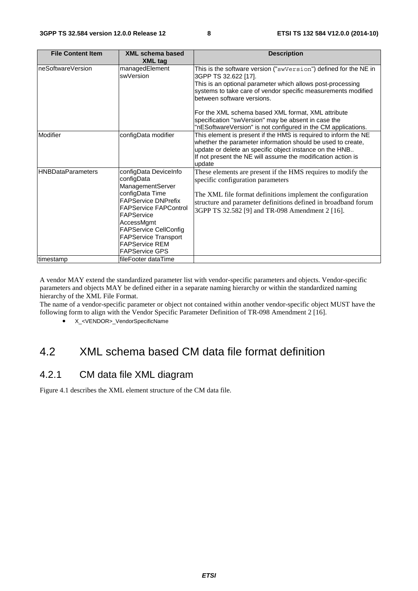| <b>File Content Item</b>  | <b>XML schema based</b><br><b>XML tag</b>                                                                                                                                                                                                                                             | <b>Description</b>                                                                                                                                                                                                                                                                                                                                                                                                                  |
|---------------------------|---------------------------------------------------------------------------------------------------------------------------------------------------------------------------------------------------------------------------------------------------------------------------------------|-------------------------------------------------------------------------------------------------------------------------------------------------------------------------------------------------------------------------------------------------------------------------------------------------------------------------------------------------------------------------------------------------------------------------------------|
| neSoftwareVersion         | managedElement<br>swVersion                                                                                                                                                                                                                                                           | This is the software version ("swVersion") defined for the NE in<br>3GPP TS 32.622 [17].<br>This is an optional parameter which allows post-processing<br>systems to take care of vendor specific measurements modified<br>between software versions.<br>For the XML schema based XML format, XML attribute<br>specification "swVersion" may be absent in case the<br>"nESoftwareVersion" is not configured in the CM applications. |
| Modifier                  | configData modifier                                                                                                                                                                                                                                                                   | This element is present if the HMS is required to inform the NE<br>whether the parameter information should be used to create,<br>update or delete an specific object instance on the HNB<br>If not present the NE will assume the modification action is<br>update                                                                                                                                                                 |
| <b>IHNBDataParameters</b> | configData DeviceInfo<br>configData<br>ManagementServer<br>configData Time<br><b>FAPService DNPrefix</b><br><b>FAPService FAPControl</b><br>FAPService<br>AccessMgmt<br><b>FAPService CellConfig</b><br><b>FAPService Transport</b><br><b>FAPService REM</b><br><b>FAPService GPS</b> | These elements are present if the HMS requires to modify the<br>specific configuration parameters<br>The XML file format definitions implement the configuration<br>structure and parameter definitions defined in broadband forum<br>3GPP TS 32.582 [9] and TR-098 Amendment 2 [16].                                                                                                                                               |
| timestamp                 | fileFooter dataTime                                                                                                                                                                                                                                                                   |                                                                                                                                                                                                                                                                                                                                                                                                                                     |

A vendor MAY extend the standardized parameter list with vendor-specific parameters and objects. Vendor-specific parameters and objects MAY be defined either in a separate naming hierarchy or within the standardized naming hierarchy of the XML File Format.

The name of a vendor-specific parameter or object not contained within another vendor-specific object MUST have the following form to align with the Vendor Specific Parameter Definition of TR-098 Amendment 2 [16].

• X <VENDOR> VendorSpecificName

# 4.2 XML schema based CM data file format definition

#### 4.2.1 CM data file XML diagram

Figure 4.1 describes the XML element structure of the CM data file.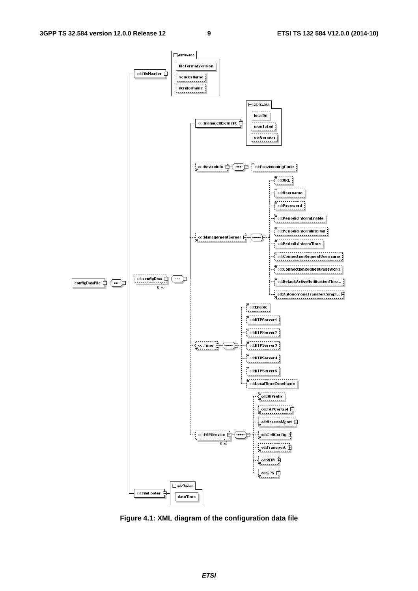

**Figure 4.1: XML diagram of the configuration data file**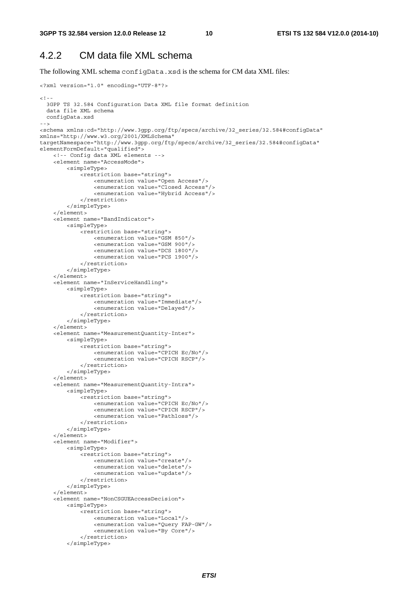#### 4.2.2 CM data file XML schema

The following XML schema configData.xsd is the schema for CM data XML files:

```
<?xml version="1.0" encoding="UTF-8"?> 
<! - -
   3GPP TS 32.584 Configuration Data XML file format definition 
   data file XML schema 
  configData.xsd 
--> 
<schema xmlns:cd="http://www.3gpp.org/ftp/specs/archive/32_series/32.584#configData" 
xmlns="http://www.w3.org/2001/XMLSchema" 
targetNamespace="http://www.3gpp.org/ftp/specs/archive/32_series/32.584#configData" 
elementFormDefault="qualified"> 
     <!-- Config data XML elements --> 
     <element name="AccessMode"> 
         <simpleType> 
              <restriction base="string"> 
                  <enumeration value="Open Access"/> 
                  <enumeration value="Closed Access"/> 
                  <enumeration value="Hybrid Access"/> 
              </restriction> 
         </simpleType> 
     </element> 
     <element name="BandIndicator"> 
         <simpleType> 
              <restriction base="string"> 
                  <enumeration value="GSM 850"/> 
                  <enumeration value="GSM 900"/> 
                  <enumeration value="DCS 1800"/> 
                  <enumeration value="PCS 1900"/> 
              </restriction> 
         </simpleType> 
     </element> 
     <element name="InServiceHandling"> 
         <simpleType> 
              <restriction base="string"> 
                  <enumeration value="Immediate"/> 
                  <enumeration value="Delayed"/> 
              </restriction> 
         </simpleType> 
     </element> 
     <element name="MeasurementQuantity-Inter"> 
         <simpleType> 
              <restriction base="string"> 
                  <enumeration value="CPICH Ec/No"/> 
                  <enumeration value="CPICH RSCP"/> 
              </restriction> 
          </simpleType> 
     </element> 
     <element name="MeasurementQuantity-Intra"> 
         <simpleType> 
              <restriction base="string"> 
                  <enumeration value="CPICH Ec/No"/> 
                  <enumeration value="CPICH RSCP"/> 
                  <enumeration value="Pathloss"/> 
              </restriction> 
         </simpleType> 
     </element> 
     <element name="Modifier"> 
         <simpleType> 
              <restriction base="string"> 
                  <enumeration value="create"/> 
                  <enumeration value="delete"/> 
                  <enumeration value="update"/> 
              </restriction> 
          </simpleType> 
     </element> 
     <element name="NonCSGUEAccessDecision"> 
         <simpleType> 
              <restriction base="string"> 
                  <enumeration value="Local"/> 
                  <enumeration value="Query FAP-GW"/> 
                  <enumeration value="By Core"/> 
              </restriction> 
          </simpleType>
```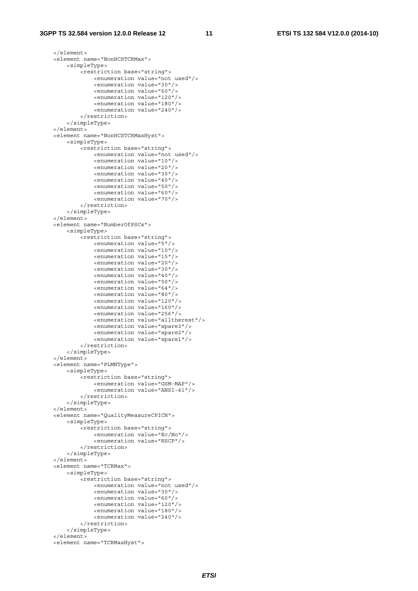```
 </element> 
 <element name="NonHCSTCRMax"> 
     <simpleType> 
         <restriction base="string"> 
              <enumeration value="not used"/> 
              <enumeration value="30"/> 
              <enumeration value="60"/> 
              <enumeration value="120"/> 
              <enumeration value="180"/> 
              <enumeration value="240"/> 
         </restriction> 
     </simpleType> 
 </element> 
 <element name="NonHCSTCRMaxHyst"> 
     <simpleType> 
         <restriction base="string"> 
              <enumeration value="not used"/> 
              <enumeration value="10"/> 
              <enumeration value="20"/> 
              <enumeration value="30"/> 
              <enumeration value="40"/> 
              <enumeration value="50"/> 
              <enumeration value="60"/> 
              <enumeration value="70"/> 
         </restriction> 
     </simpleType> 
 </element> 
 <element name="NumberOfPSCs"> 
     <simpleType> 
        -<br>///wetriction base="string">
              <enumeration value="5"/> 
              <enumeration value="10"/> 
              <enumeration value="15"/> 
              <enumeration value="20"/> 
              <enumeration value="30"/> 
              <enumeration value="40"/> 
              <enumeration value="50"/> 
              <enumeration value="64"/> 
              <enumeration value="80"/> 
              <enumeration value="120"/> 
              <enumeration value="160"/> 
              <enumeration value="256"/> 
              <enumeration value="alltherest"/> 
              <enumeration value="spare3"/> 
              <enumeration value="spare2"/> 
              <enumeration value="spare1"/> 
         </restriction> 
     </simpleType> 
 </element> 
 <element name="PLMNType"> 
     <simpleType> 
         <restriction base="string"> 
              <enumeration value="GSM-MAP"/> 
              <enumeration value="ANSI-41"/> 
         </restriction> 
     </simpleType> 
 </element> 
 <element name="QualityMeasureCPICH"> 
     <simpleType> 
         <restriction base="string"> 
              <enumeration value="Ec/No"/> 
              <enumeration value="RSCP"/> 
         </restriction> 
     </simpleType> 
\epsilon/element>
 <element name="TCRMax"> 
     <simpleType> 
         <restriction base="string"> 
              <enumeration value="not used"/> 
              <enumeration value="30"/> 
              <enumeration value="60"/> 
              <enumeration value="120"/> 
              <enumeration value="180"/> 
              <enumeration value="240"/> 
          </restriction> 
     </simpleType> 
 </element> 
 <element name="TCRMaxHyst">
```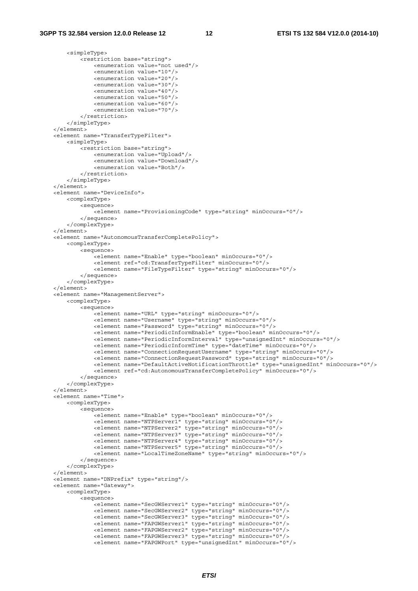<simpleType>

```
 <restriction base="string"> 
                 <enumeration value="not used"/> 
                 <enumeration value="10"/> 
                 <enumeration value="20"/> 
                 <enumeration value="30"/> 
                 <enumeration value="40"/> 
                 <enumeration value="50"/> 
                 <enumeration value="60"/> 
                 <enumeration value="70"/> 
             </restriction> 
         </simpleType> 
    </element> 
    <element name="TransferTypeFilter"> 
         <simpleType> 
             <restriction base="string"> 
                 <enumeration value="Upload"/> 
                 <enumeration value="Download"/> 
                 <enumeration value="Both"/> 
             </restriction> 
         </simpleType> 
    </element> 
    <element name="DeviceInfo"> 
         <complexType> 
             <sequence> 
                 <element name="ProvisioningCode" type="string" minOccurs="0"/> 
             </sequence> 
         </complexType> 
    </element> 
    <element name="AutonomousTransferCompletePolicy"> 
        <complexType> 
             <sequence> 
                .<br><element name="Enable" type="boolean" minOccurs="0"/>
                 <element ref="cd:TransferTypeFilter" minOccurs="0"/> 
                 <element name="FileTypeFilter" type="string" minOccurs="0"/> 
             </sequence> 
         </complexType> 
    </element> 
    <element name="ManagementServer"> 
         <complexType> 
             <sequence> 
                -<br><element name="URL" type="string" minOccurs="0"/>
                 <element name="Username" type="string" minOccurs="0"/> 
                 <element name="Password" type="string" minOccurs="0"/> 
                 <element name="PeriodicInformEnable" type="boolean" minOccurs="0"/> 
                 <element name="PeriodicInformInterval" type="unsignedInt" minOccurs="0"/> 
                 <element name="PeriodicInformTime" type="dateTime" minOccurs="0"/> 
                 <element name="ConnectionRequestUsername" type="string" minOccurs="0"/> 
                 <element name="ConnectionRequestPassword" type="string" minOccurs="0"/> 
                 <element name="DefaultActiveNotificationThrottle" type="unsignedInt" minOccurs="0"/> 
                 <element ref="cd:AutonomousTransferCompletePolicy" minOccurs="0"/> 
             </sequence> 
         </complexType> 
     </element> 
    <element name="Time"> 
        <complexType> 
             <sequence> 
                 <element name="Enable" type="boolean" minOccurs="0"/> 
 <element name="NTPServer1" type="string" minOccurs="0"/> 
 <element name="NTPServer2" type="string" minOccurs="0"/> 
                 <element name="NTPServer3" type="string" minOccurs="0"/> 
                 <element name="NTPServer4" type="string" minOccurs="0"/> 
                 <element name="NTPServer5" type="string" minOccurs="0"/> 
                 <element name="LocalTimeZoneName" type="string" minOccurs="0"/> 
             </sequence> 
         </complexType> 
     </element> 
    <element name="DNPrefix" type="string"/> 
    <element name="Gateway"> 
         <complexType> 
             <sequence> 
                 <element name="SecGWServer1" type="string" minOccurs="0"/> 
                 <element name="SecGWServer2" type="string" minOccurs="0"/> 
 <element name="SecGWServer3" type="string" minOccurs="0"/> 
 <element name="FAPGWServer1" type="string" minOccurs="0"/> 
                 <element name="FAPGWServer2" type="string" minOccurs="0"/> 
                 <element name="FAPGWServer3" type="string" minOccurs="0"/> 
                 <element name="FAPGWPort" type="unsignedInt" minOccurs="0"/>
```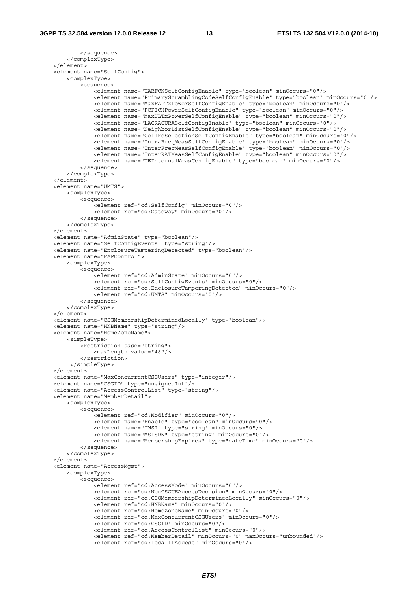```
 </sequence> 
         </complexType> 
     </element> 
    <element name="SelfConfig"> 
         <complexType> 
             <sequence> 
                -<br>-<element name="UARFCNSelfConfigEnable" type="boolean" minOccurs="0"/>
                 <element name="PrimaryScramblingCodeSelfConfigEnable" type="boolean" minOccurs="0"/> 
                 <element name="MaxFAPTxPowerSelfConfigEnable" type="boolean" minOccurs="0"/> 
                 <element name="PCPICHPowerSelfConfigEnable" type="boolean" minOccurs="0"/> 
                 <element name="MaxULTxPowerSelfConfigEnable" type="boolean" minOccurs="0"/> 
                 <element name="LACRACURASelfConfigEnable" type="boolean" minOccurs="0"/> 
                 <element name="NeighborListSelfConfigEnable" type="boolean" minOccurs="0"/> 
                 <element name="CellReSelectionSelfConfigEnable" type="boolean" minOccurs="0"/> 
 <element name="IntraFreqMeasSelfConfigEnable" type="boolean" minOccurs="0"/> 
 <element name="InterFreqMeasSelfConfigEnable" type="boolean" minOccurs="0"/> 
                 <element name="InterRATMeasSelfConfigEnable" type="boolean" minOccurs="0"/> 
                 <element name="UEInternalMeasConfigEnable" type="boolean" minOccurs="0"/> 
             </sequence> 
         </complexType> 
    </element> 
    <element name="UMTS"> 
        <complexType> 
             <sequence> 
                .<br><element ref="cd:SelfConfig" minOccurs="0"/>
                 <element ref="cd:Gateway" minOccurs="0"/> 
             </sequence> 
         </complexType> 
    </element> 
    <element name="AdminState" type="boolean"/> 
    <element name="SelfConfigEvents" type="string"/> 
     <element name="EnclosureTamperingDetected" type="boolean"/> 
    <element name="FAPControl"> 
         <complexType> 
             <sequence> 
                 <element ref="cd:AdminState" minOccurs="0"/> 
                 <element ref="cd:SelfConfigEvents" minOccurs="0"/> 
                 <element ref="cd:EnclosureTamperingDetected" minOccurs="0"/> 
                 <element ref="cd:UMTS" minOccurs="0"/> 
             </sequence> 
         </complexType> 
    </element> 
    <element name="CSGMembershipDeterminedLocally" type="boolean"/> 
    <element name="HNBName" type="string"/> 
    <element name="HomeZoneName"> 
         <simpleType> 
             <restriction base="string"> 
                 <maxLength value="48"/> 
             </restriction> 
          </simpleType> 
    </element> 
    <element name="MaxConcurrentCSGUsers" type="integer"/> 
     <element name="CSGID" type="unsignedInt"/> 
     <element name="AccessControlList" type="string"/> 
    <element name="MemberDetail"> 
         <complexType> 
             <sequence> 
                 <element ref="cd:Modifier" minOccurs="0"/> 
                 <element name="Enable" type="boolean" minOccurs="0"/> 
                 <element name="IMSI" type="string" minOccurs="0"/> 
                 <element name="MSISDN" type="string" minOccurs="0"/> 
                 <element name="MembershipExpires" type="dateTime" minOccurs="0"/> 
             </sequence> 
         </complexType> 
    \epsilon/elements
    <element name="AccessMgmt"> 
         <complexType> 
             <sequence> 
                 <element ref="cd:AccessMode" minOccurs="0"/> 
                 <element ref="cd:NonCSGUEAccessDecision" minOccurs="0"/> 
                 <element ref="cd:CSGMembershipDeterminedLocally" minOccurs="0"/> 
                 <element ref="cd:HNBName" minOccurs="0"/> 
                 <element ref="cd:HomeZoneName" minOccurs="0"/> 
                 <element ref="cd:MaxConcurrentCSGUsers" minOccurs="0"/> 
                 <element ref="cd:CSGID" minOccurs="0"/> 
                 <element ref="cd:AccessControlList" minOccurs="0"/> 
 <element ref="cd:MemberDetail" minOccurs="0" maxOccurs="unbounded"/> 
 <element ref="cd:LocalIPAccess" minOccurs="0"/>
```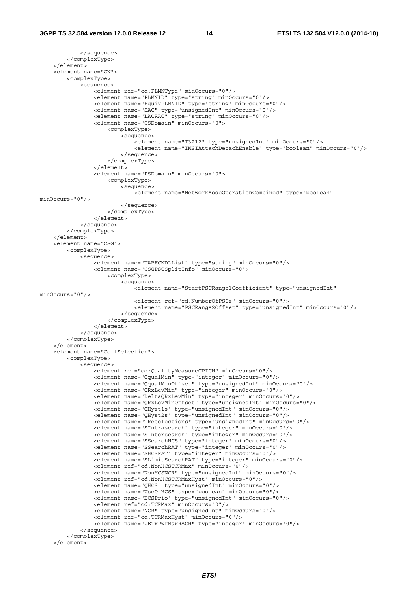```
 </sequence> 
         </complexType> 
     </element> 
     <element name="CN"> 
         <complexType> 
             <sequence> 
                -<br><element ref="cd:PLMNTvpe" minOccurs="0"/>
                 <element name="PLMNID" type="string" minOccurs="0"/> 
                 <element name="EquivPLMNID" type="string" minOccurs="0"/> 
                  <element name="SAC" type="unsignedInt" minOccurs="0"/> 
                 <element name="LACRAC" type="string" minOccurs="0"/> 
                 <element name="CSDomain" minOccurs="0"> 
                      <complexType> 
                          <sequence> 
                              <element name="T3212" type="unsignedInt" minOccurs="0"/> 
                              <element name="IMSIAttachDetachEnable" type="boolean" minOccurs="0"/> 
                          </sequence> 
                      </complexType> 
                  </element> 
                  <element name="PSDomain" minOccurs="0"> 
                     <complexType> 
                          <sequence> 
                              <element name="NetworkModeOperationCombined" type="boolean" 
minOccurs="0"/> 
                          </sequence> 
                      </complexType> 
                 </element> 
             </sequence> 
         </complexType> 
    \sim/element\sim <element name="CSG"> 
         <complexType> 
             <sequence> 
                 <element name="UARFCNDLList" type="string" minOccurs="0"/> 
                  <element name="CSGPSCSplitInfo" minOccurs="0"> 
                      <complexType> 
                          <sequence> 
                             .<br><element name="StartPSCRange1Coefficient" type="unsignedInt"
minOccurs="0"/> 
                              <element ref="cd:NumberOfPSCs" minOccurs="0"/> 
                              <element name="PSCRange2Offset" type="unsignedInt" minOccurs="0"/> 
                          </sequence> 
                      </complexType> 
                 </element> 
             </sequence> 
         </complexType> 
     </element> 
     <element name="CellSelection"> 
         <complexType> 
             <sequence> 
                 <element ref="cd:QualityMeasureCPICH" minOccurs="0"/> 
                  <element name="QqualMin" type="integer" minOccurs="0"/> 
                  <element name="QqualMinOffset" type="unsignedInt" minOccurs="0"/> 
                  <element name="QRxLevMin" type="integer" minOccurs="0"/> 
                 <element name="DeltaQRxLevMin" type="integer" minOccurs="0"/> 
                 <element name="QRxLevMinOffset" type="unsignedInt" minOccurs="0"/> 
                  <element name="QHyst1s" type="unsignedInt" minOccurs="0"/> 
                 <element name="QHyst2s" type="unsignedInt" minOccurs="0"/> 
                 <element name="TReselections" type="unsignedInt" minOccurs="0"/> 
                 <element name="SIntrasearch" type="integer" minOccurs="0"/> 
                 <element name="SIntersearch" type="integer" minOccurs="0"/> 
                  <element name="SSearchHCS" type="integer" minOccurs="0"/> 
                 <element name="SSearchRAT" type="integer" minOccurs="0"/> 
 <element name="SHCSRAT" type="integer" minOccurs="0"/> 
 <element name="SLimitSearchRAT" type="integer" minOccurs="0"/> 
                 <element ref="cd:NonHCSTCRMax" minOccurs="0"/> 
                  <element name="NonHCSNCR" type="unsignedInt" minOccurs="0"/> 
                 <element ref="cd:NonHCSTCRMaxHyst" minOccurs="0"/> 
 <element name="QHCS" type="unsignedInt" minOccurs="0"/> 
 <element name="UseOfHCS" type="boolean" minOccurs="0"/> 
                  <element name="HCSPrio" type="unsignedInt" minOccurs="0"/> 
                 <element ref="cd:TCRMax" minOccurs="0"/> 
                 <element name="NCR" type="unsignedInt" minOccurs="0"/> 
                 <element ref="cd:TCRMaxHyst" minOccurs="0"/> 
                  <element name="UETxPwrMaxRACH" type="integer" minOccurs="0"/> 
             </sequence> 
         </complexType> 
     </element>
```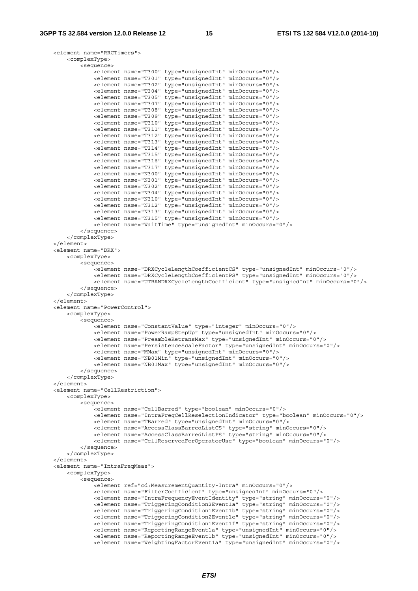```
 <element name="RRCTimers"> 
     <complexType> 
         <sequence> 
             <element name="T300" type="unsignedInt" minOccurs="0"/> 
             <element name="T301" type="unsignedInt" minOccurs="0"/> 
             <element name="T302" type="unsignedInt" minOccurs="0"/> 
             <element name="T304" type="unsignedInt" minOccurs="0"/> 
             <element name="T305" type="unsignedInt" minOccurs="0"/> 
             <element name="T307" type="unsignedInt" minOccurs="0"/> 
             <element name="T308" type="unsignedInt" minOccurs="0"/> 
             <element name="T309" type="unsignedInt" minOccurs="0"/> 
             <element name="T310" type="unsignedInt" minOccurs="0"/> 
             <element name="T311" type="unsignedInt" minOccurs="0"/> 
             <element name="T312" type="unsignedInt" minOccurs="0"/> 
             <element name="T313" type="unsignedInt" minOccurs="0"/> 
             <element name="T314" type="unsignedInt" minOccurs="0"/> 
             <element name="T315" type="unsignedInt" minOccurs="0"/> 
             <element name="T316" type="unsignedInt" minOccurs="0"/> 
             <element name="T317" type="unsignedInt" minOccurs="0"/> 
             <element name="N300" type="unsignedInt" minOccurs="0"/> 
             <element name="N301" type="unsignedInt" minOccurs="0"/> 
             <element name="N302" type="unsignedInt" minOccurs="0"/> 
             <element name="N304" type="unsignedInt" minOccurs="0"/> 
             <element name="N310" type="unsignedInt" minOccurs="0"/> 
             <element name="N312" type="unsignedInt" minOccurs="0"/> 
             <element name="N313" type="unsignedInt" minOccurs="0"/> 
             <element name="N315" type="unsignedInt" minOccurs="0"/> 
             <element name="WaitTime" type="unsignedInt" minOccurs="0"/> 
         </sequence> 
     </complexType> 
 </element> 
 <element name="DRX"> 
     <complexType> 
         <sequence> 
             <element name="DRXCycleLengthCoefficientCS" type="unsignedInt" minOccurs="0"/> 
             <element name="DRXCycleLengthCoefficientPS" type="unsignedInt" minOccurs="0"/> 
             <element name="UTRANDRXCycleLengthCoefficient" type="unsignedInt" minOccurs="0"/> 
         </sequence> 
     </complexType> 
 </element> 
 <element name="PowerControl"> 
    <complexType> 
         <sequence> 
             <element name="ConstantValue" type="integer" minOccurs="0"/> 
             <element name="PowerRampStepUp" type="unsignedInt" minOccurs="0"/> 
             <element name="PreambleRetransMax" type="unsignedInt" minOccurs="0"/> 
             <element name="PersistenceScaleFactor" type="unsignedInt" minOccurs="0"/> 
             <element name="MMax" type="unsignedInt" minOccurs="0"/> 
             <element name="NB01Min" type="unsignedInt" minOccurs="0"/> 
             <element name="NB01Max" type="unsignedInt" minOccurs="0"/> 
         </sequence> 
     </complexType> 
 </element> 
 <element name="CellRestriction"> 
     <complexType> 
         <sequence> 
             <element name="CellBarred" type="boolean" minOccurs="0"/> 
             <element name="IntraFreqCellReselectionIndicator" type="boolean" minOccurs="0"/> 
             <element name="TBarred" type="unsignedInt" minOccurs="0"/> 
             <element name="AccessClassBarredListCS" type="string" minOccurs="0"/> 
             <element name="AccessClassBarredListPS" type="string" minOccurs="0"/> 
             <element name="CellReservedForOperatorUse" type="boolean" minOccurs="0"/> 
         </sequence> 
     </complexType> 
\epsilon/elements
 <element name="IntraFreqMeas"> 
     <complexType> 
         <sequence> 
             <element ref="cd:MeasurementQuantity-Intra" minOccurs="0"/> 
             <element name="FilterCoefficient" type="unsignedInt" minOccurs="0"/> 
             <element name="IntraFrequencyEventIdentity" type="string" minOccurs="0"/> 
             <element name="TriggeringCondition2Event1a" type="string" minOccurs="0"/> 
             <element name="TriggeringCondition1Event1b" type="string" minOccurs="0"/> 
             <element name="TriggeringCondition2Event1e" type="string" minOccurs="0"/> 
             <element name="TriggeringCondition1Event1f" type="string" minOccurs="0"/> 
             <element name="ReportingRangeEvent1a" type="unsignedInt" minOccurs="0"/> 
             <element name="ReportingRangeEvent1b" type="unsignedInt" minOccurs="0"/> 
             <element name="WeightingFactorEvent1a" type="unsignedInt" minOccurs="0"/>
```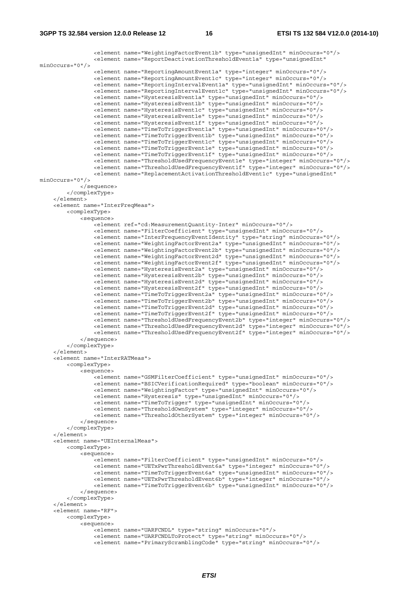```
 <element name="WeightingFactorEvent1b" type="unsignedInt" minOccurs="0"/> 
                 <element name="ReportDeactivationThresholdEvent1a" type="unsignedInt" 
minOccurs="0"/> 
 <element name="ReportingAmountEvent1a" type="integer" minOccurs="0"/> 
 <element name="ReportingAmountEvent1c" type="integer" minOccurs="0"/> 
                 <element name="ReportingIntervalEvent1a" type="unsignedInt" minOccurs="0"/> 
                 <element name="ReportingIntervalEvent1c" type="unsignedInt" minOccurs="0"/> 
                 <element name="HysteresisEvent1a" type="unsignedInt" minOccurs="0"/> 
                 <element name="HysteresisEvent1b" type="unsignedInt" minOccurs="0"/> 
                 <element name="HysteresisEvent1c" type="unsignedInt" minOccurs="0"/> 
                 <element name="HysteresisEvent1e" type="unsignedInt" minOccurs="0"/> 
                 <element name="HysteresisEvent1f" type="unsignedInt" minOccurs="0"/> 
                 <element name="TimeToTriggerEvent1a" type="unsignedInt" minOccurs="0"/> 
                 <element name="TimeToTriggerEvent1b" type="unsignedInt" minOccurs="0"/> 
 <element name="TimeToTriggerEvent1c" type="unsignedInt" minOccurs="0"/> 
 <element name="TimeToTriggerEvent1e" type="unsignedInt" minOccurs="0"/> 
                 <element name="TimeToTriggerEvent1f" type="unsignedInt" minOccurs="0"/> 
                 <element name="ThresholdUsedFrequencyEvent1e" type="integer" minOccurs="0"/> 
                 <element name="ThresholdUsedFrequencyEvent1f" type="integer" minOccurs="0"/> 
                 <element name="ReplacementActivationThresholdEvent1c" type="unsignedInt" 
minOccurs="0"/> 
            </sequence> 
         </complexType> 
     </element> 
     <element name="InterFreqMeas"> 
         <complexType> 
             <sequence> 
                 <element ref="cd:MeasurementQuantity-Inter" minOccurs="0"/> 
                 <element name="FilterCoefficient" type="unsignedInt" minOccurs="0"/> 
 <element name="InterFrequencyEventIdentity" type="string" minOccurs="0"/> 
 <element name="WeightingFactorEvent2a" type="unsignedInt" minOccurs="0"/> 
                 <element name="WeightingFactorEvent2b" type="unsignedInt" minOccurs="0"/> 
                 <element name="WeightingFactorEvent2d" type="unsignedInt" minOccurs="0"/> 
                 <element name="WeightingFactorEvent2f" type="unsignedInt" minOccurs="0"/> 
                 <element name="HysteresisEvent2a" type="unsignedInt" minOccurs="0"/> 
                 <element name="HysteresisEvent2b" type="unsignedInt" minOccurs="0"/> 
                 <element name="HysteresisEvent2d" type="unsignedInt" minOccurs="0"/> 
                 <element name="HysteresisEvent2f" type="unsignedInt" minOccurs="0"/> 
                 <element name="TimeToTriggerEvent2a" type="unsignedInt" minOccurs="0"/> 
                 <element name="TimeToTriggerEvent2b" type="unsignedInt" minOccurs="0"/> 
 <element name="TimeToTriggerEvent2d" type="unsignedInt" minOccurs="0"/> 
 <element name="TimeToTriggerEvent2f" type="unsignedInt" minOccurs="0"/> 
 <element name="ThresholdUsedFrequencyEvent2b" type="integer" minOccurs="0"/> 
 <element name="ThresholdUsedFrequencyEvent2d" type="integer" minOccurs="0"/> 
                 <element name="ThresholdUsedFrequencyEvent2f" type="integer" minOccurs="0"/> 
             </sequence> 
         </complexType> 
     </element> 
     <element name="InterRATMeas"> 
         <complexType> 
             <sequence> 
                -<br>-<element name="GSMFilterCoefficient" type="unsignedInt" minOccurs="0"/>
                 <element name="BSICVerificationRequired" type="boolean" minOccurs="0"/> 
                 <element name="WeightingFactor" type="unsignedInt" minOccurs="0"/> 
                 <element name="Hysteresis" type="unsignedInt" minOccurs="0"/> 
                 <element name="TimeToTrigger" type="unsignedInt" minOccurs="0"/> 
                 <element name="ThresholdOwnSystem" type="integer" minOccurs="0"/> 
                 <element name="ThresholdOtherSystem" type="integer" minOccurs="0"/> 
             </sequence> 
         </complexType> 
     </element> 
     <element name="UEInternalMeas"> 
        <complexType> 
             <sequence> 
                 <element name="FilterCoefficient" type="unsignedInt" minOccurs="0"/> 
                 <element name="UETxPwrThresholdEvent6a" type="integer" minOccurs="0"/> 
                 <element name="TimeToTriggerEvent6a" type="unsignedInt" minOccurs="0"/> 
                 <element name="UETxPwrThresholdEvent6b" type="integer" minOccurs="0"/> 
                 <element name="TimeToTriggerEvent6b" type="unsignedInt" minOccurs="0"/> 
             </sequence> 
         </complexType> 
     </element> 
     <element name="RF"> 
         <complexType> 
             <sequence> 
                 <element name="UARFCNDL" type="string" minOccurs="0"/> 
                 <element name="UARFCNDLToProtect" type="string" minOccurs="0"/> 
                 <element name="PrimaryScramblingCode" type="string" minOccurs="0"/>
```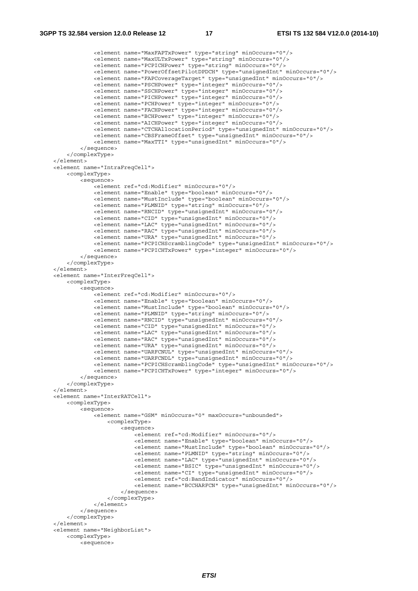```
 <element name="MaxFAPTxPower" type="string" minOccurs="0"/> 
 <element name="MaxULTxPower" type="string" minOccurs="0"/> 
 <element name="PCPICHPower" type="string" minOccurs="0"/> 
                 <element name="PowerOffsetPilotDPDCH" type="unsignedInt" minOccurs="0"/> 
                 <element name="FAPCoverageTarget" type="unsignedInt" minOccurs="0"/> 
                 <element name="PSCHPower" type="integer" minOccurs="0"/> 
                 <element name="SSCHPower" type="integer" minOccurs="0"/> 
                 <element name="PICHPower" type="integer" minOccurs="0"/> 
                 <element name="PCHPower" type="integer" minOccurs="0"/> 
                 <element name="FACHPower" type="integer" minOccurs="0"/> 
                 <element name="BCHPower" type="integer" minOccurs="0"/> 
                 <element name="AICHPower" type="integer" minOccurs="0"/> 
                 <element name="CTCHAllocationPeriod" type="unsignedInt" minOccurs="0"/> 
                 <element name="CBSFrameOffset" type="unsignedInt" minOccurs="0"/> 
                 <element name="MaxTTI" type="unsignedInt" minOccurs="0"/> 
             </sequence> 
         </complexType> 
    </element> 
    <element name="IntraFreqCell"> 
         <complexType> 
             <sequence> 
                 <element ref="cd:Modifier" minOccurs="0"/> 
                 <element name="Enable" type="boolean" minOccurs="0"/> 
                 <element name="MustInclude" type="boolean" minOccurs="0"/> 
                 <element name="PLMNID" type="string" minOccurs="0"/> 
                 <element name="RNCID" type="unsignedInt" minOccurs="0"/> 
                 <element name="CID" type="unsignedInt" minOccurs="0"/> 
                 <element name="LAC" type="unsignedInt" minOccurs="0"/> 
                 <element name="RAC" type="unsignedInt" minOccurs="0"/> 
                 <element name="URA" type="unsignedInt" minOccurs="0"/> 
                 <element name="PCPICHScramblingCode" type="unsignedInt" minOccurs="0"/> 
                 <element name="PCPICHTxPower" type="integer" minOccurs="0"/> 
             </sequence> 
         </complexType> 
    </element> 
    <element name="InterFreqCell"> 
         <complexType> 
             <sequence> 
                 <element ref="cd:Modifier" minOccurs="0"/> 
                 <element name="Enable" type="boolean" minOccurs="0"/> 
                 <element name="MustInclude" type="boolean" minOccurs="0"/> 
                 <element name="PLMNID" type="string" minOccurs="0"/> 
                 <element name="RNCID" type="unsignedInt" minOccurs="0"/> 
                 <element name="CID" type="unsignedInt" minOccurs="0"/> 
                 <element name="LAC" type="unsignedInt" minOccurs="0"/> 
 <element name="RAC" type="unsignedInt" minOccurs="0"/> 
 <element name="URA" type="unsignedInt" minOccurs="0"/> 
                 <element name="UARFCNUL" type="unsignedInt" minOccurs="0"/> 
                 <element name="UARFCNDL" type="unsignedInt" minOccurs="0"/> 
                 <element name="PCPICHScramblingCode" type="unsignedInt" minOccurs="0"/> 
                 <element name="PCPICHTxPower" type="integer" minOccurs="0"/> 
             </sequence> 
         </complexType> 
    </element> 
    <element name="InterRATCell"> 
         <complexType> 
             <sequence> 
                 <element name="GSM" minOccurs="0" maxOccurs="unbounded"> 
                     <complexType> 
                         <sequence> 
                             <element ref="cd:Modifier" minOccurs="0"/> 
                              <element name="Enable" type="boolean" minOccurs="0"/> 
                             <element name="MustInclude" type="boolean" minOccurs="0"/> 
                             <element name="PLMNID" type="string" minOccurs="0"/> 
                             <element name="LAC" type="unsignedInt" minOccurs="0"/> 
                             <element name="BSIC" type="unsignedInt" minOccurs="0"/> 
                              <element name="CI" type="unsignedInt" minOccurs="0"/> 
                             <element ref="cd:BandIndicator" minOccurs="0"/> 
                             <element name="BCCHARFCN" type="unsignedInt" minOccurs="0"/> 
                         </sequence> 
                     </complexType> 
                 </element> 
             </sequence> 
         </complexType> 
    </element> 
    <element name="NeighborList"> 
         <complexType> 
             <sequence>
```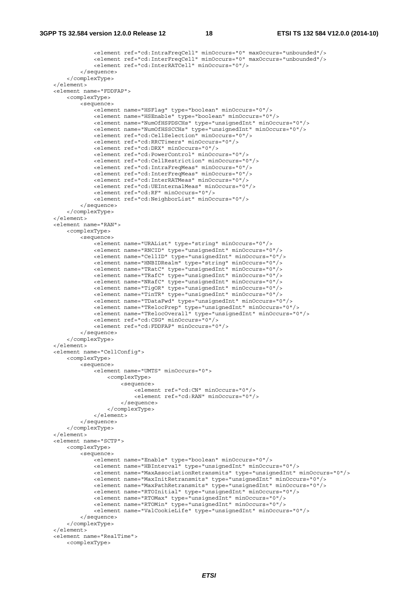```
 <element ref="cd:IntraFreqCell" minOccurs="0" maxOccurs="unbounded"/> 
                 <element ref="cd:InterFreqCell" minOccurs="0" maxOccurs="unbounded"/> 
                 <element ref="cd:InterRATCell" minOccurs="0"/> 
             </sequence> 
         </complexType> 
     </element> 
    <element name="FDDFAP"> 
         <complexType> 
             <sequence> 
                .<br><element name="HSFlaq" type="boolean" minOccurs="0"/>
                 <element name="HSEnable" type="boolean" minOccurs="0"/> 
                 <element name="NumOfHSPDSCHs" type="unsignedInt" minOccurs="0"/> 
                 <element name="NumOfHSSCCHs" type="unsignedInt" minOccurs="0"/> 
                 <element ref="cd:CellSelection" minOccurs="0"/> 
                 <element ref="cd:RRCTimers" minOccurs="0"/> 
                 <element ref="cd:DRX" minOccurs="0"/> 
                 <element ref="cd:PowerControl" minOccurs="0"/> 
                 <element ref="cd:CellRestriction" minOccurs="0"/> 
                 <element ref="cd:IntraFreqMeas" minOccurs="0"/> 
                 <element ref="cd:InterFreqMeas" minOccurs="0"/> 
                 <element ref="cd:InterRATMeas" minOccurs="0"/> 
                 <element ref="cd:UEInternalMeas" minOccurs="0"/> 
                 <element ref="cd:RF" minOccurs="0"/> 
                 <element ref="cd:NeighborList" minOccurs="0"/> 
             </sequence> 
         </complexType> 
     </element> 
     <element name="RAN"> 
         <complexType> 
            >sequence\sim <element name="URAList" type="string" minOccurs="0"/> 
                 <element name="RNCID" type="unsignedInt" minOccurs="0"/> 
                 <element name="CellID" type="unsignedInt" minOccurs="0"/> 
                 <element name="HNBIDRealm" type="string" minOccurs="0"/> 
                 <element name="TRatC" type="unsignedInt" minOccurs="0"/> 
                 <element name="TRafC" type="unsignedInt" minOccurs="0"/> 
                 <element name="NRafC" type="unsignedInt" minOccurs="0"/> 
 <element name="TigOR" type="unsignedInt" minOccurs="0"/> 
 <element name="TinTR" type="unsignedInt" minOccurs="0"/> 
                 <element name="TDataFwd" type="unsignedInt" minOccurs="0"/> 
                 <element name="TRelocPrep" type="unsignedInt" minOccurs="0"/> 
                 <element name="TRelocOverall" type="unsignedInt" minOccurs="0"/> 
                 <element ref="cd:CSG" minOccurs="0"/> 
                 <element ref="cd:FDDFAP" minOccurs="0"/> 
             </sequence> 
         </complexType> 
    </element> 
     <element name="CellConfig"> 
         <complexType> 
             <sequence> 
                 <element name="UMTS" minOccurs="0"> 
                     <complexType> 
                         <sequence> 
                              <element ref="cd:CN" minOccurs="0"/> 
                              <element ref="cd:RAN" minOccurs="0"/> 
                          </sequence> 
                     </complexType> 
                 </element> 
             </sequence> 
         </complexType> 
     </element> 
     <element name="SCTP"> 
         <complexType> 
             <sequence> 
                .<br><element name="Enable" type="boolean" minOccurs="0"/>
                 <element name="HBInterval" type="unsignedInt" minOccurs="0"/> 
                 <element name="MaxAssociationRetransmits" type="unsignedInt" minOccurs="0"/> 
                 <element name="MaxInitRetransmits" type="unsignedInt" minOccurs="0"/> 
                 <element name="MaxPathRetransmits" type="unsignedInt" minOccurs="0"/> 
                 <element name="RTOInitial" type="unsignedInt" minOccurs="0"/> 
                 <element name="RTOMax" type="unsignedInt" minOccurs="0"/> 
                 <element name="RTOMin" type="unsignedInt" minOccurs="0"/> 
                 <element name="ValCookieLife" type="unsignedInt" minOccurs="0"/> 
             </sequence> 
         </complexType> 
     </element> 
    <element name="RealTime"> 
         <complexType>
```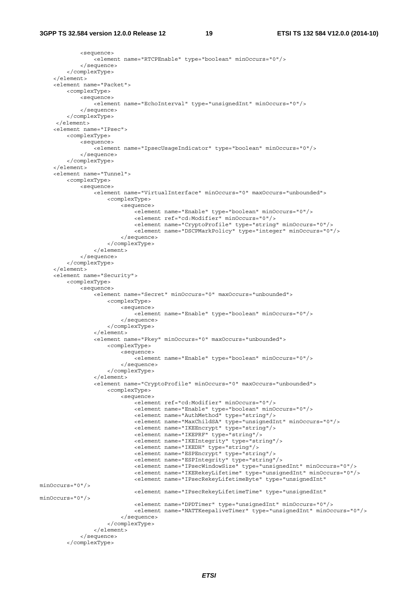```
 <sequence> 
                  <element name="RTCPEnable" type="boolean" minOccurs="0"/> 
              </sequence> 
         </complexType> 
     </element> 
     <element name="Packet"> 
         <complexType> 
              <sequence> 
                 .<br><element name="EchoInterval" type="unsignedInt" minOccurs="0"/>
              </sequence> 
         </complexType> 
      </element> 
     <element name="IPsec"> 
         <complexType> 
              <sequence> 
                 -<br>-<element name="IpsecUsaqeIndicator" type="boolean" minOccurs="0"/>
             </sequence> 
          </complexType> 
     </element> 
     <element name="Tunnel"> 
         <complexType> 
              <sequence> 
                  <element name="VirtualInterface" minOccurs="0" maxOccurs="unbounded"> 
                      <complexType> 
                           <sequence> 
                               <element name="Enable" type="boolean" minOccurs="0"/> 
                               <element ref="cd:Modifier" minOccurs="0"/> 
                               <element name="CryptoProfile" type="string" minOccurs="0"/> 
                               <element name="DSCPMarkPolicy" type="integer" minOccurs="0"/> 
                           </sequence> 
                       </complexType> 
                  </element> 
              </sequence> 
          </complexType> 
     </element> 
     <element name="Security"> 
         <complexType> 
              <sequence> 
                  <element name="Secret" minOccurs="0" maxOccurs="unbounded"> 
                      <complexType> 
                           <sequence> 
                               <element name="Enable" type="boolean" minOccurs="0"/> 
                           </sequence> 
                       </complexType> 
                  </element> 
                  <element name="Pkey" minOccurs="0" maxOccurs="unbounded"> 
                      <complexType> 
                           <sequence> 
                               <element name="Enable" type="boolean" minOccurs="0"/> 
                           </sequence> 
                       </complexType> 
                 \epsilon/element>
                  <element name="CryptoProfile" minOccurs="0" maxOccurs="unbounded"> 
                       <complexType> 
                           <sequence> 
                              .<br><element ref="cd:Modifier" minOccurs="0"/>
                               <element name="Enable" type="boolean" minOccurs="0"/> 
                               <element name="AuthMethod" type="string"/> 
                               <element name="MaxChildSA" type="unsignedInt" minOccurs="0"/> 
                               <element name="IKEEncrypt" type="string"/> 
                               <element name="IKEPRF" type="string"/> 
                               <element name="IKEIntegrity" type="string"/> 
                               <element name="IKEDH" type="string"/> 
                               <element name="ESPEncrypt" type="string"/> 
                               <element name="ESPIntegrity" type="string"/> 
                               <element name="IPsecWindowSize" type="unsignedInt" minOccurs="0"/> 
                               <element name="IKERekeyLifetime" type="unsignedInt" minOccurs="0"/> 
                               <element name="IPsecRekeyLifetimeByte" type="unsignedInt" 
minOccurs="0"/> 
                               <element name="IPsecRekeyLifetimeTime" type="unsignedInt" 
minOccurs="0"/> 
                               <element name="DPDTimer" type="unsignedInt" minOccurs="0"/> 
                               <element name="NATTKeepaliveTimer" type="unsignedInt" minOccurs="0"/> 
                           </sequence> 
                       </complexType> 
                  </element> 
              </sequence> 
         </complexType>
```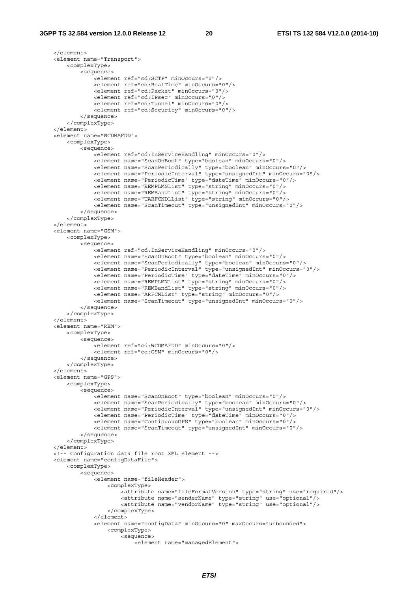</element> <element name="Transport"> <complexType> <sequence> <element ref="cd:SCTP" minOccurs="0"/> <element ref="cd:RealTime" minOccurs="0"/> <element ref="cd:Packet" minOccurs="0"/> <element ref="cd:IPsec" minOccurs="0"/> <element ref="cd:Tunnel" minOccurs="0"/> <element ref="cd:Security" minOccurs="0"/> </sequence> </complexType> </element> <element name="WCDMAFDD"> <complexType> <sequence> <element ref="cd:InServiceHandling" minOccurs="0"/> <element name="ScanOnBoot" type="boolean" minOccurs="0"/> <element name="ScanPeriodically" type="boolean" minOccurs="0"/> <element name="PeriodicInterval" type="unsignedInt" minOccurs="0"/> <element name="PeriodicTime" type="dateTime" minOccurs="0"/> <element name="REMPLMNList" type="string" minOccurs="0"/> <element name="REMBandList" type="string" minOccurs="0"/> <element name="UARFCNDLList" type="string" minOccurs="0"/> <element name="ScanTimeout" type="unsignedInt" minOccurs="0"/> </sequence> </complexType> </element> <element name="GSM"> <complexType> <sequence> <element ref="cd:InServiceHandling" minOccurs="0"/> <element name="ScanOnBoot" type="boolean" minOccurs="0"/> <element name="ScanPeriodically" type="boolean" minOccurs="0"/> <element name="PeriodicInterval" type="unsignedInt" minOccurs="0"/> <element name="PeriodicTime" type="dateTime" minOccurs="0"/> <element name="REMPLMNList" type="string" minOccurs="0"/> <element name="REMBandList" type="string" minOccurs="0"/> <element name="ARFCNList" type="string" minOccurs="0"/> <element name="ScanTimeout" type="unsignedInt" minOccurs="0"/> </sequence> </complexType> </element> <element name="REM"> <complexType> <sequence> <element ref="cd:WCDMAFDD" minOccurs="0"/> <element ref="cd:GSM" minOccurs="0"/> </sequence> </complexType> </element> <element name="GPS"> <complexType> <sequence> <element name="ScanOnBoot" type="boolean" minOccurs="0"/> <element name="ScanPeriodically" type="boolean" minOccurs="0"/> <element name="PeriodicInterval" type="unsignedInt" minOccurs="0"/> <element name="PeriodicTime" type="dateTime" minOccurs="0"/> <element name="ContinuousGPS" type="boolean" minOccurs="0"/> <element name="ScanTimeout" type="unsignedInt" minOccurs="0"/> </sequence> </complexType> </element> <!-- Configuration data file root XML element --> <element name="configDataFile"> <complexType> <sequence> -<br><element name="fileHeader"> <complexType> <attribute name="fileFormatVersion" type="string" use="required"/> <attribute name="senderName" type="string" use="optional"/> <attribute name="vendorName" type="string" use="optional"/> </complexType> </element> <element name="configData" minOccurs="0" maxOccurs="unbounded"> <complexType> <sequence> <element name="managedElement">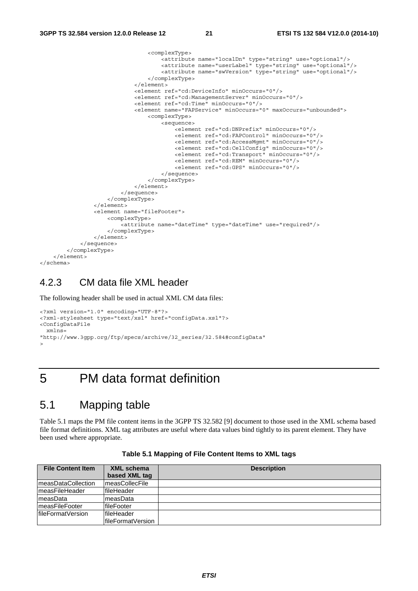```
 <complexType> 
                                        <attribute name="localDn" type="string" use="optional"/> 
                                        <attribute name="userLabel" type="string" use="optional"/> 
                                        <attribute name="swVersion" type="string" use="optional"/> 
                                    </complexType> 
                               </element> 
                               <element ref="cd:DeviceInfo" minOccurs="0"/> 
                               <element ref="cd:ManagementServer" minOccurs="0"/> 
                               <element ref="cd:Time" minOccurs="0"/> 
                               <element name="FAPService" minOccurs="0" maxOccurs="unbounded"> 
                                   <complexType> 
                                        <sequence> 
                                           .<br><element ref="cd:DNPrefix" minOccurs="0"/>
                                            <element ref="cd:FAPControl" minOccurs="0"/> 
                                            <element ref="cd:AccessMgmt" minOccurs="0"/> 
                                            <element ref="cd:CellConfig" minOccurs="0"/> 
                                            <element ref="cd:Transport" minOccurs="0"/> 
                                            <element ref="cd:REM" minOccurs="0"/> 
                                            <element ref="cd:GPS" minOccurs="0"/> 
                                        </sequence> 
                                    </complexType> 
                               </element> 
                           </sequence> 
                      </complexType> 
                  </element> 
                  <element name="fileFooter"> 
                      <complexType> 
                           <attribute name="dateTime" type="dateTime" use="required"/> 
                      </complexType> 
                 >/element \sim </sequence> 
         </complexType> 
     </element> 
</schema>
```
#### 4.2.3 CM data file XML header

The following header shall be used in actual XML CM data files:

```
<?xml version="1.0" encoding="UTF-8"?> 
<?xml-stylesheet type="text/xsl" href="configData.xsl"?> 
<ConfigDataFile 
  xmlns= 
"http://www.3gpp.org/ftp/specs/archive/32_series/32.584#configData" 
>
```
## 5 PM data format definition

#### 5.1 Mapping table

Table 5.1 maps the PM file content items in the 3GPP TS 32.582 [9] document to those used in the XML schema based file format definitions. XML tag attributes are useful where data values bind tightly to its parent element. They have been used where appropriate.

| <b>File Content Item</b> | <b>XML schema</b>  | <b>Description</b> |
|--------------------------|--------------------|--------------------|
|                          | based XML tag      |                    |
| measDataCollection       | measCollecFile     |                    |
| lmeasFileHeader          | fileHeader         |                    |
| ImeasData                | ImeasData          |                    |
| ImeasFileFooter          | fileFooter         |                    |
| lfileFormatVersion       | <b>IfileHeader</b> |                    |
|                          | IfileFormatVersion |                    |

**Table 5.1 Mapping of File Content Items to XML tags**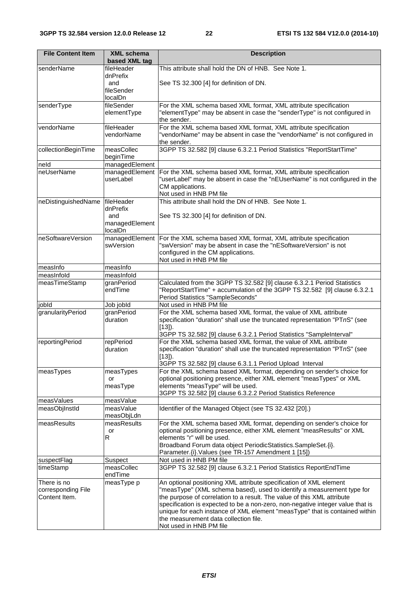| <b>File Content Item</b>            | <b>XML schema</b><br>based XML tag | <b>Description</b>                                                                                                                                |
|-------------------------------------|------------------------------------|---------------------------------------------------------------------------------------------------------------------------------------------------|
| senderName                          | fileHeader                         | This attribute shall hold the DN of HNB. See Note 1.                                                                                              |
|                                     | dnPrefix                           |                                                                                                                                                   |
|                                     | and                                | See TS 32.300 [4] for definition of DN.                                                                                                           |
|                                     | fileSender                         |                                                                                                                                                   |
| senderType                          | localDn<br>fileSender              | For the XML schema based XML format, XML attribute specification                                                                                  |
|                                     | elementType                        | "elementType" may be absent in case the "senderType" is not configured in                                                                         |
|                                     |                                    | the sender.                                                                                                                                       |
| vendorName                          | fileHeader                         | For the XML schema based XML format, XML attribute specification                                                                                  |
|                                     | vendorName                         | "vendorName" may be absent in case the "vendorName" is not configured in                                                                          |
|                                     |                                    | the sender.                                                                                                                                       |
| collectionBeginTime                 | measCollec                         | 3GPP TS 32.582 [9] clause 6.3.2.1 Period Statistics "ReportStartTime"                                                                             |
| neld                                | beginTime<br>managedElement        |                                                                                                                                                   |
| neUserName                          | managedElement                     | For the XML schema based XML format, XML attribute specification                                                                                  |
|                                     | userLabel                          | "userLabel" may be absent in case the "nEUserName" is not configured in the                                                                       |
|                                     |                                    | CM applications.                                                                                                                                  |
|                                     |                                    | Not used in HNB PM file                                                                                                                           |
| neDistinguishedName                 | fileHeader                         | This attribute shall hold the DN of HNB. See Note 1.                                                                                              |
|                                     | dnPrefix<br>and                    |                                                                                                                                                   |
|                                     | managedElement                     | See TS 32.300 [4] for definition of DN.                                                                                                           |
|                                     | localDn                            |                                                                                                                                                   |
| neSoftwareVersion                   | managedElement                     | For the XML schema based XML format, XML attribute specification                                                                                  |
|                                     | swVersion                          | "swVersion" may be absent in case the "nESoftwareVersion" is not                                                                                  |
|                                     |                                    | configured in the CM applications.                                                                                                                |
|                                     |                                    | Not used in HNB PM file                                                                                                                           |
| measInfo<br>measInfold              | measInfo<br>measInfold             |                                                                                                                                                   |
| measTimeStamp                       | granPeriod                         | Calculated from the 3GPP TS 32.582 [9] clause 6.3.2.1 Period Statistics                                                                           |
|                                     | endTime                            | "ReportStartTime" + accumulation of the 3GPP TS 32.582 [9] clause 6.3.2.1                                                                         |
|                                     |                                    | Period Statistics "SampleSeconds"                                                                                                                 |
| jobld                               | Job jobld                          | Not used in HNB PM file                                                                                                                           |
| granularityPeriod                   | granPeriod                         | For the XML schema based XML format, the value of XML attribute                                                                                   |
|                                     | duration                           | specification "duration" shall use the truncated representation "PTnS" (see                                                                       |
|                                     |                                    | $[13]$ .<br>3GPP TS 32.582 [9] clause 6.3.2.1 Period Statistics "SampleInterval"                                                                  |
| reportingPeriod                     | repPeriod                          | For the XML schema based XML format, the value of XML attribute                                                                                   |
|                                     | duration                           | specification "duration" shall use the truncated representation "PTnS" (see                                                                       |
|                                     |                                    | [13]).                                                                                                                                            |
|                                     |                                    | 3GPP TS 32.582 [9] clause 6.3.1.1 Period Upload Interval                                                                                          |
| measTypes                           | measTypes                          | For the XML schema based XML format, depending on sender's choice for                                                                             |
|                                     | or<br>measType                     | optional positioning presence, either XML element "measTypes" or XML<br>elements "measType" will be used.                                         |
|                                     |                                    | 3GPP TS 32.582 [9] clause 6.3.2.2 Period Statistics Reference                                                                                     |
| measValues                          | measValue                          |                                                                                                                                                   |
| measObjInstId                       | measValue                          | Identifier of the Managed Object (see TS 32.432 [20].)                                                                                            |
|                                     | measObjLdn                         |                                                                                                                                                   |
| measResults                         | measResults                        | For the XML schema based XML format, depending on sender's choice for                                                                             |
|                                     | or<br>R                            | optional positioning presence, either XML element "measResults" or XML<br>elements "r" will be used.                                              |
|                                     |                                    | Broadband Forum data object PeriodicStatistics.SampleSet.{i}.                                                                                     |
|                                     |                                    | Parameter. {i}. Values (see TR-157 Amendment 1 [15])                                                                                              |
| suspectFlag                         | Suspect                            | Not used in HNB PM file                                                                                                                           |
| timeStamp                           | measCollec                         | 3GPP TS 32.582 [9] clause 6.3.2.1 Period Statistics ReportEndTime                                                                                 |
|                                     | endTime                            |                                                                                                                                                   |
| There is no                         | measType p                         | An optional positioning XML attribute specification of XML element                                                                                |
| corresponding File<br>Content Item. |                                    | "measType" (XML schema based), used to identify a measurement type for<br>the purpose of correlation to a result. The value of this XML attribute |
|                                     |                                    | specification is expected to be a non-zero, non-negative integer value that is                                                                    |
|                                     |                                    | unique for each instance of XML element "measType" that is contained within                                                                       |
|                                     |                                    | the measurement data collection file.                                                                                                             |
|                                     |                                    | Not used in HNB PM file                                                                                                                           |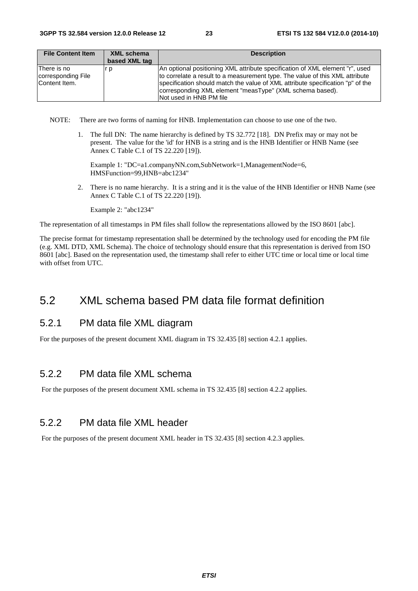| <b>File Content Item</b>                           | XML schema    | <b>Description</b>                                                                                                                                                                                                                                                                                                                     |
|----------------------------------------------------|---------------|----------------------------------------------------------------------------------------------------------------------------------------------------------------------------------------------------------------------------------------------------------------------------------------------------------------------------------------|
|                                                    | based XML tag |                                                                                                                                                                                                                                                                                                                                        |
| There is no<br>corresponding File<br>Content Item. | r p           | An optional positioning XML attribute specification of XML element "r", used<br>to correlate a result to a measurement type. The value of this XML attribute<br>specification should match the value of XML attribute specification "p" of the<br>corresponding XML element "measType" (XML schema based).<br>INot used in HNB PM file |

NOTE: There are two forms of naming for HNB. Implementation can choose to use one of the two.

1. The full DN: The name hierarchy is defined by TS 32.772 [18]. DN Prefix may or may not be present. The value for the 'id' for HNB is a string and is the HNB Identifier or HNB Name (see Annex C Table C.1 of TS 22.220 [19]).

Example 1: "DC=a1.companyNN.com,SubNetwork=1,ManagementNode=6, HMSFunction=99,HNB=abc1234"

2. There is no name hierarchy. It is a string and it is the value of the HNB Identifier or HNB Name (see Annex C Table C.1 of TS 22.220 [19]).

Example 2: "abc1234"

The representation of all timestamps in PM files shall follow the representations allowed by the ISO 8601 [abc].

The precise format for timestamp representation shall be determined by the technology used for encoding the PM file (e.g. XML DTD, XML Schema). The choice of technology should ensure that this representation is derived from ISO 8601 [abc]. Based on the representation used, the timestamp shall refer to either UTC time or local time or local time with offset from UTC.

#### 5.2 XML schema based PM data file format definition

#### 5.2.1 PM data file XML diagram

For the purposes of the present document XML diagram in TS 32.435 [8] section 4.2.1 applies.

#### 5.2.2 PM data file XML schema

For the purposes of the present document XML schema in TS 32.435 [8] section 4.2.2 applies.

#### 5.2.2 PM data file XML header

For the purposes of the present document XML header in TS 32.435 [8] section 4.2.3 applies.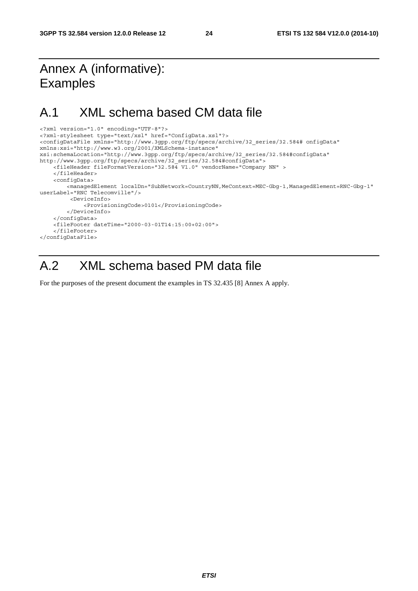# Annex A (informative): Examples

# A.1 XML schema based CM data file

```
<?xml version="1.0" encoding="UTF-8"?> 
<?xml-stylesheet type="text/xsl" href="ConfigData.xsl"?> 
<configDataFile xmlns="http://www.3gpp.org/ftp/specs/archive/32_series/32.584# onfigData" 
xmlns:xsi="http://www.w3.org/2001/XMLSchema-instance" 
xsi:schemaLocation="http://www.3gpp.org/ftp/specs/archive/32_series/32.584#configData" 
http://www.3gpp.org/ftp/specs/archive/32_series/32.584#configData"> 
     <fileHeader fileFormatVersion="32.584 V1.0" vendorName="Company NN" > 
     </fileHeader> 
     <configData> 
         <managedElement localDn="SubNetwork=CountryNN,MeContext=MEC-Gbg-1,ManagedElement=RNC-Gbg-1" 
userLabel="RNC Telecomville"/> 
          <DeviceInfo> 
              <ProvisioningCode>0101</ProvisioningCode> 
         </DeviceInfo> 
     </configData> 
     <fileFooter dateTime="2000-03-01T14:15:00+02:00"> 
     </fileFooter> 
</configDataFile>
```
# A.2 XML schema based PM data file

For the purposes of the present document the examples in TS 32.435 [8] Annex A apply.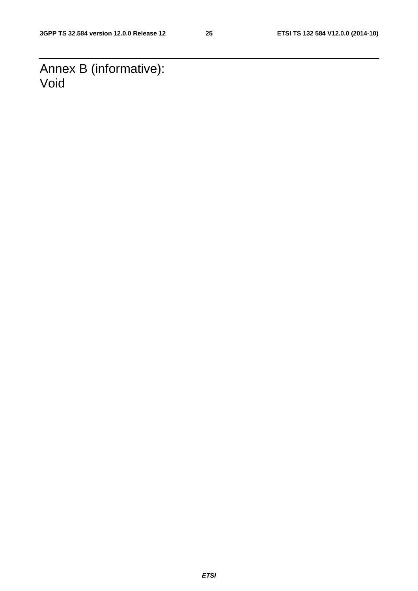Annex B (informative): Void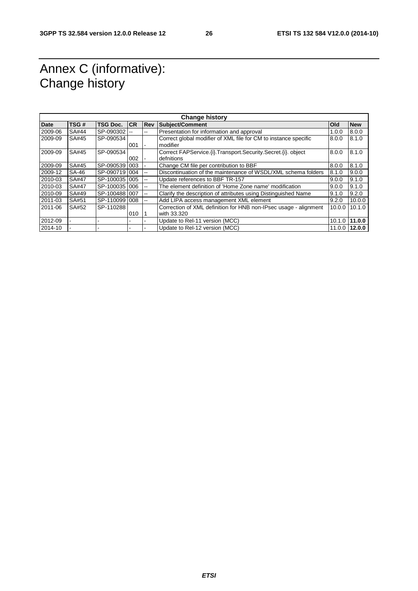# Annex C (informative): Change history

| Date    | TSG#         | <b>TSG Doc.</b> | <b>ICR</b> | Rev                      | <b>Change history</b><br><b>Subject/Comment</b>                   | Old    | <b>New</b>    |
|---------|--------------|-----------------|------------|--------------------------|-------------------------------------------------------------------|--------|---------------|
| 2009-06 | <b>SA#44</b> | SP-090302       | $\sim$     | --                       | Presentation for information and approval                         | 1.0.0  | 8.0.0         |
| 2009-09 | SA#45        | SP-090534       |            |                          | Correct global modifier of XML file for CM to instance specific   | 8.0.0  | 8.1.0         |
|         |              |                 | 001        |                          | modifier                                                          |        |               |
| 2009-09 | SA#45        | SP-090534       |            |                          | Correct FAPService. (i). Transport. Security. Secret. (i). object | 8.0.0  | 8.1.0         |
|         |              |                 | 002        |                          | defnitions                                                        |        |               |
| 2009-09 | SA#45        | SP-0905391003   |            |                          | Change CM file per contribution to BBF                            | 8.0.0  | 8.1.0         |
| 2009-12 | <b>SA-46</b> | SP-090719 004   |            | $-1$                     | Discontinuation of the maintenance of WSDL/XML schema folders     | 8.1.0  | 9.0.0         |
| 2010-03 | <b>SA#47</b> | SP-100035 005   |            | $-$                      | Update references to BBF TR-157                                   | 9.0.0  | 9.1.0         |
| 2010-03 | <b>SA#47</b> | SP-100035 006   |            | --                       | The element definition of 'Home Zone name' modification           | 9.0.0  | 9.1.0         |
| 2010-09 | SA#49        | SP-1004881007   |            | $- -$                    | Clarify the description of attributes using Distinguished Name    | 9.1.0  | 9.2.0         |
| 2011-03 | <b>SA#51</b> | SP-110099 008   |            | $\overline{\phantom{a}}$ | Add LIPA access management XML element                            | 9.2.0  | 10.0.0        |
| 2011-06 | SA#52        | SP-110288       |            |                          | Correction of XML definition for HNB non-IPsec usage - alignment  | 10.0.0 | 10.1.0        |
|         |              |                 | 010        |                          | with 33.320                                                       |        |               |
| 2012-09 |              |                 |            |                          | Update to Rel-11 version (MCC)                                    |        | 10.1.0 11.0.0 |
| 2014-10 |              |                 |            |                          | Update to Rel-12 version (MCC)                                    |        | 11.0.0 12.0.0 |